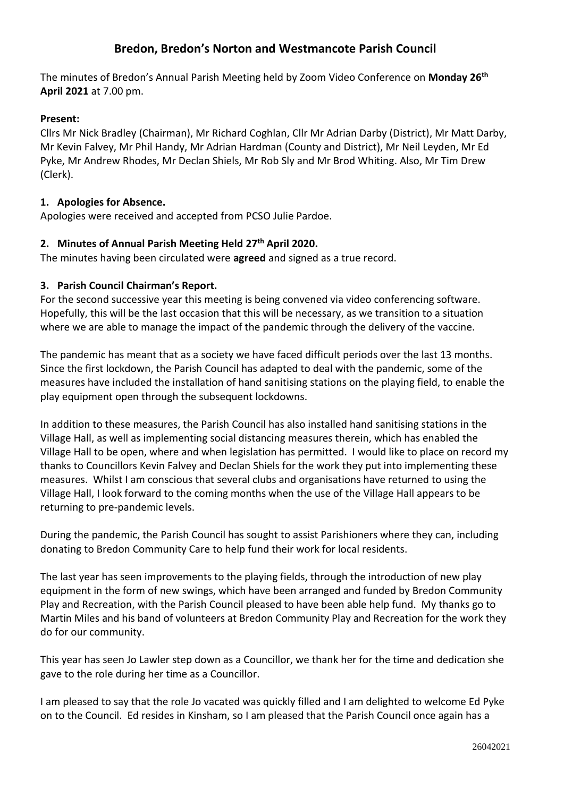# **Bredon, Bredon's Norton and Westmancote Parish Council**

The minutes of Bredon's Annual Parish Meeting held by Zoom Video Conference on **Monday 26 th April 2021** at 7.00 pm.

### **Present:**

Cllrs Mr Nick Bradley (Chairman), Mr Richard Coghlan, Cllr Mr Adrian Darby (District), Mr Matt Darby, Mr Kevin Falvey, Mr Phil Handy, Mr Adrian Hardman (County and District), Mr Neil Leyden, Mr Ed Pyke, Mr Andrew Rhodes, Mr Declan Shiels, Mr Rob Sly and Mr Brod Whiting. Also, Mr Tim Drew (Clerk).

### **1. Apologies for Absence.**

Apologies were received and accepted from PCSO Julie Pardoe.

#### **2. Minutes of Annual Parish Meeting Held 27 th April 2020.**

The minutes having been circulated were **agreed** and signed as a true record.

#### **3. Parish Council Chairman's Report.**

For the second successive year this meeting is being convened via video conferencing software. Hopefully, this will be the last occasion that this will be necessary, as we transition to a situation where we are able to manage the impact of the pandemic through the delivery of the vaccine.

The pandemic has meant that as a society we have faced difficult periods over the last 13 months. Since the first lockdown, the Parish Council has adapted to deal with the pandemic, some of the measures have included the installation of hand sanitising stations on the playing field, to enable the play equipment open through the subsequent lockdowns.

In addition to these measures, the Parish Council has also installed hand sanitising stations in the Village Hall, as well as implementing social distancing measures therein, which has enabled the Village Hall to be open, where and when legislation has permitted. I would like to place on record my thanks to Councillors Kevin Falvey and Declan Shiels for the work they put into implementing these measures. Whilst I am conscious that several clubs and organisations have returned to using the Village Hall, I look forward to the coming months when the use of the Village Hall appears to be returning to pre-pandemic levels.

During the pandemic, the Parish Council has sought to assist Parishioners where they can, including donating to Bredon Community Care to help fund their work for local residents.

The last year has seen improvements to the playing fields, through the introduction of new play equipment in the form of new swings, which have been arranged and funded by Bredon Community Play and Recreation, with the Parish Council pleased to have been able help fund. My thanks go to Martin Miles and his band of volunteers at Bredon Community Play and Recreation for the work they do for our community.

This year has seen Jo Lawler step down as a Councillor, we thank her for the time and dedication she gave to the role during her time as a Councillor.

I am pleased to say that the role Jo vacated was quickly filled and I am delighted to welcome Ed Pyke on to the Council. Ed resides in Kinsham, so I am pleased that the Parish Council once again has a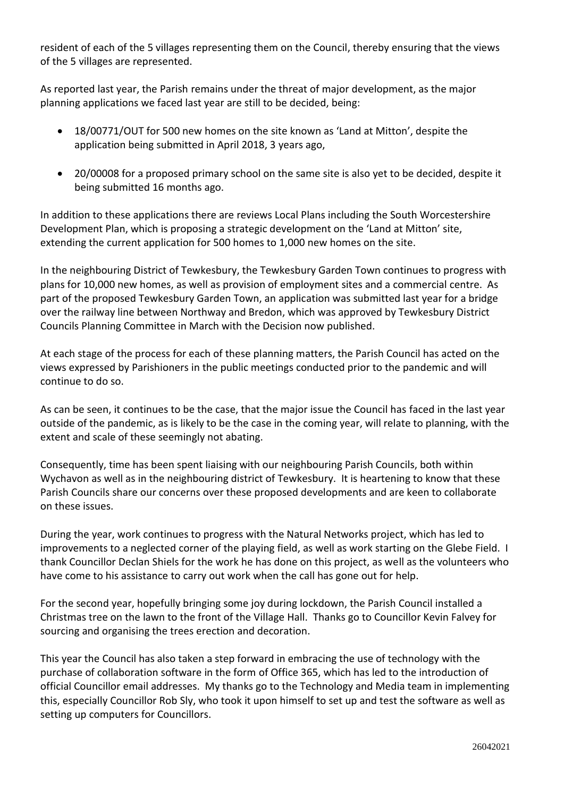resident of each of the 5 villages representing them on the Council, thereby ensuring that the views of the 5 villages are represented.

As reported last year, the Parish remains under the threat of major development, as the major planning applications we faced last year are still to be decided, being:

- 18/00771/OUT for 500 new homes on the site known as 'Land at Mitton', despite the application being submitted in April 2018, 3 years ago,
- 20/00008 for a proposed primary school on the same site is also yet to be decided, despite it being submitted 16 months ago.

In addition to these applications there are reviews Local Plans including the South Worcestershire Development Plan, which is proposing a strategic development on the 'Land at Mitton' site, extending the current application for 500 homes to 1,000 new homes on the site.

In the neighbouring District of Tewkesbury, the Tewkesbury Garden Town continues to progress with plans for 10,000 new homes, as well as provision of employment sites and a commercial centre. As part of the proposed Tewkesbury Garden Town, an application was submitted last year for a bridge over the railway line between Northway and Bredon, which was approved by Tewkesbury District Councils Planning Committee in March with the Decision now published.

At each stage of the process for each of these planning matters, the Parish Council has acted on the views expressed by Parishioners in the public meetings conducted prior to the pandemic and will continue to do so.

As can be seen, it continues to be the case, that the major issue the Council has faced in the last year outside of the pandemic, as is likely to be the case in the coming year, will relate to planning, with the extent and scale of these seemingly not abating.

Consequently, time has been spent liaising with our neighbouring Parish Councils, both within Wychavon as well as in the neighbouring district of Tewkesbury. It is heartening to know that these Parish Councils share our concerns over these proposed developments and are keen to collaborate on these issues.

During the year, work continues to progress with the Natural Networks project, which has led to improvements to a neglected corner of the playing field, as well as work starting on the Glebe Field. I thank Councillor Declan Shiels for the work he has done on this project, as well as the volunteers who have come to his assistance to carry out work when the call has gone out for help.

For the second year, hopefully bringing some joy during lockdown, the Parish Council installed a Christmas tree on the lawn to the front of the Village Hall. Thanks go to Councillor Kevin Falvey for sourcing and organising the trees erection and decoration.

This year the Council has also taken a step forward in embracing the use of technology with the purchase of collaboration software in the form of Office 365, which has led to the introduction of official Councillor email addresses. My thanks go to the Technology and Media team in implementing this, especially Councillor Rob Sly, who took it upon himself to set up and test the software as well as setting up computers for Councillors.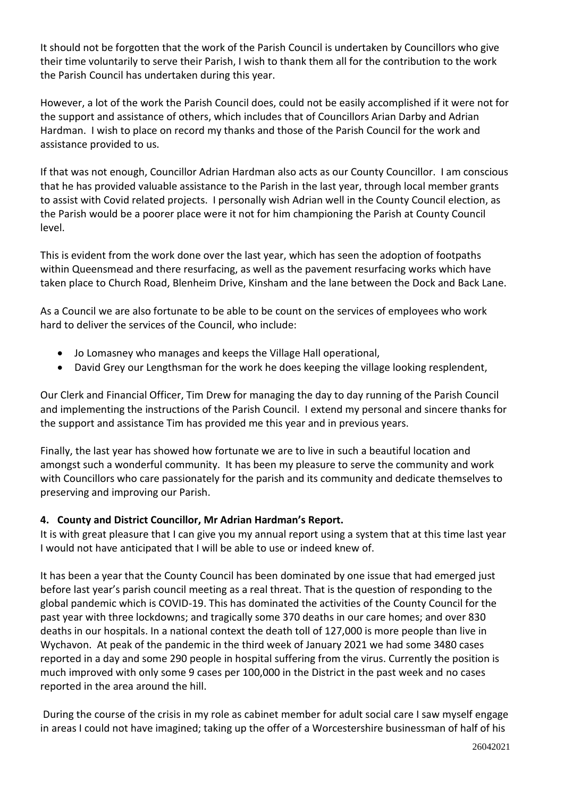It should not be forgotten that the work of the Parish Council is undertaken by Councillors who give their time voluntarily to serve their Parish, I wish to thank them all for the contribution to the work the Parish Council has undertaken during this year.

However, a lot of the work the Parish Council does, could not be easily accomplished if it were not for the support and assistance of others, which includes that of Councillors Arian Darby and Adrian Hardman. I wish to place on record my thanks and those of the Parish Council for the work and assistance provided to us.

If that was not enough, Councillor Adrian Hardman also acts as our County Councillor. I am conscious that he has provided valuable assistance to the Parish in the last year, through local member grants to assist with Covid related projects. I personally wish Adrian well in the County Council election, as the Parish would be a poorer place were it not for him championing the Parish at County Council level.

This is evident from the work done over the last year, which has seen the adoption of footpaths within Queensmead and there resurfacing, as well as the pavement resurfacing works which have taken place to Church Road, Blenheim Drive, Kinsham and the lane between the Dock and Back Lane.

As a Council we are also fortunate to be able to be count on the services of employees who work hard to deliver the services of the Council, who include:

- Jo Lomasney who manages and keeps the Village Hall operational,
- David Grey our Lengthsman for the work he does keeping the village looking resplendent,

Our Clerk and Financial Officer, Tim Drew for managing the day to day running of the Parish Council and implementing the instructions of the Parish Council. I extend my personal and sincere thanks for the support and assistance Tim has provided me this year and in previous years.

Finally, the last year has showed how fortunate we are to live in such a beautiful location and amongst such a wonderful community. It has been my pleasure to serve the community and work with Councillors who care passionately for the parish and its community and dedicate themselves to preserving and improving our Parish.

# **4. County and District Councillor, Mr Adrian Hardman's Report.**

It is with great pleasure that I can give you my annual report using a system that at this time last year I would not have anticipated that I will be able to use or indeed knew of.

It has been a year that the County Council has been dominated by one issue that had emerged just before last year's parish council meeting as a real threat. That is the question of responding to the global pandemic which is COVID-19. This has dominated the activities of the County Council for the past year with three lockdowns; and tragically some 370 deaths in our care homes; and over 830 deaths in our hospitals. In a national context the death toll of 127,000 is more people than live in Wychavon. At peak of the pandemic in the third week of January 2021 we had some 3480 cases reported in a day and some 290 people in hospital suffering from the virus. Currently the position is much improved with only some 9 cases per 100,000 in the District in the past week and no cases reported in the area around the hill.

During the course of the crisis in my role as cabinet member for adult social care I saw myself engage in areas I could not have imagined; taking up the offer of a Worcestershire businessman of half of his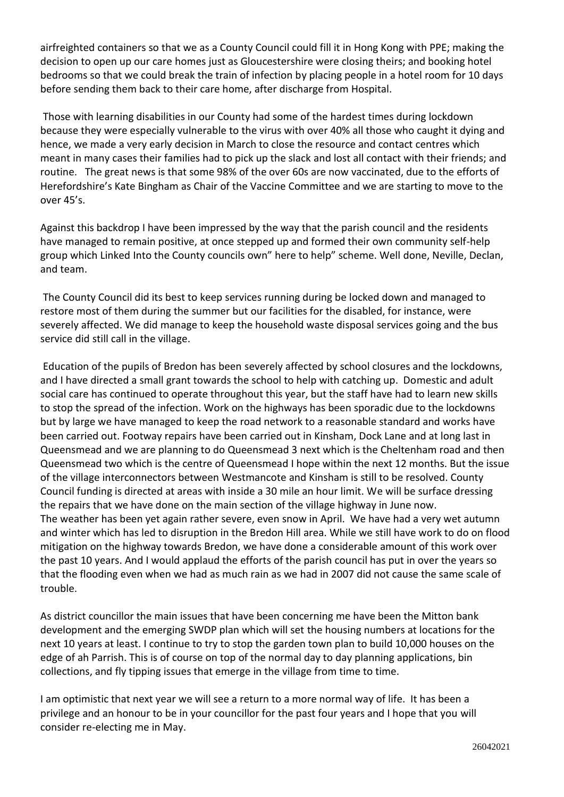airfreighted containers so that we as a County Council could fill it in Hong Kong with PPE; making the decision to open up our care homes just as Gloucestershire were closing theirs; and booking hotel bedrooms so that we could break the train of infection by placing people in a hotel room for 10 days before sending them back to their care home, after discharge from Hospital.

Those with learning disabilities in our County had some of the hardest times during lockdown because they were especially vulnerable to the virus with over 40% all those who caught it dying and hence, we made a very early decision in March to close the resource and contact centres which meant in many cases their families had to pick up the slack and lost all contact with their friends; and routine. The great news is that some 98% of the over 60s are now vaccinated, due to the efforts of Herefordshire's Kate Bingham as Chair of the Vaccine Committee and we are starting to move to the over 45's.

Against this backdrop I have been impressed by the way that the parish council and the residents have managed to remain positive, at once stepped up and formed their own community self-help group which Linked Into the County councils own" here to help" scheme. Well done, Neville, Declan, and team.

The County Council did its best to keep services running during be locked down and managed to restore most of them during the summer but our facilities for the disabled, for instance, were severely affected. We did manage to keep the household waste disposal services going and the bus service did still call in the village.

Education of the pupils of Bredon has been severely affected by school closures and the lockdowns, and I have directed a small grant towards the school to help with catching up. Domestic and adult social care has continued to operate throughout this year, but the staff have had to learn new skills to stop the spread of the infection. Work on the highways has been sporadic due to the lockdowns but by large we have managed to keep the road network to a reasonable standard and works have been carried out. Footway repairs have been carried out in Kinsham, Dock Lane and at long last in Queensmead and we are planning to do Queensmead 3 next which is the Cheltenham road and then Queensmead two which is the centre of Queensmead I hope within the next 12 months. But the issue of the village interconnectors between Westmancote and Kinsham is still to be resolved. County Council funding is directed at areas with inside a 30 mile an hour limit. We will be surface dressing the repairs that we have done on the main section of the village highway in June now. The weather has been yet again rather severe, even snow in April. We have had a very wet autumn and winter which has led to disruption in the Bredon Hill area. While we still have work to do on flood mitigation on the highway towards Bredon, we have done a considerable amount of this work over the past 10 years. And I would applaud the efforts of the parish council has put in over the years so that the flooding even when we had as much rain as we had in 2007 did not cause the same scale of trouble.

As district councillor the main issues that have been concerning me have been the Mitton bank development and the emerging SWDP plan which will set the housing numbers at locations for the next 10 years at least. I continue to try to stop the garden town plan to build 10,000 houses on the edge of ah Parrish. This is of course on top of the normal day to day planning applications, bin collections, and fly tipping issues that emerge in the village from time to time.

I am optimistic that next year we will see a return to a more normal way of life. It has been a privilege and an honour to be in your councillor for the past four years and I hope that you will consider re-electing me in May.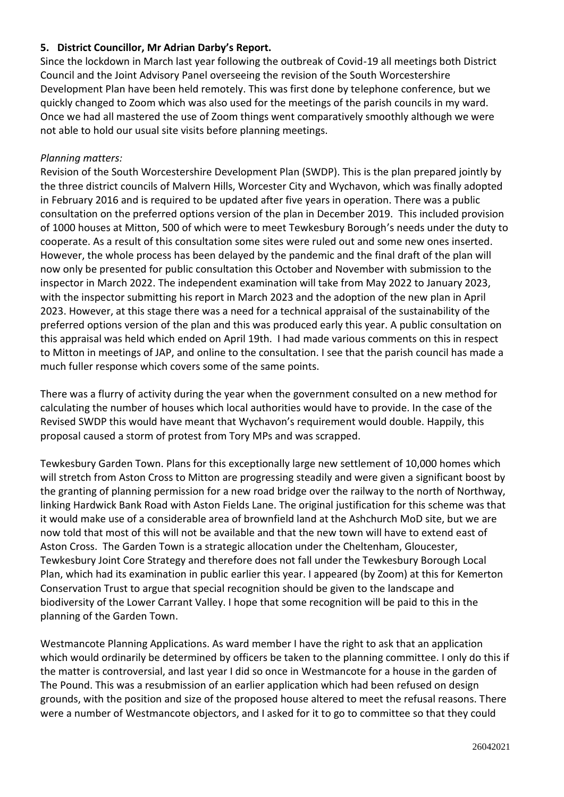# **5. District Councillor, Mr Adrian Darby's Report.**

Since the lockdown in March last year following the outbreak of Covid-19 all meetings both District Council and the Joint Advisory Panel overseeing the revision of the South Worcestershire Development Plan have been held remotely. This was first done by telephone conference, but we quickly changed to Zoom which was also used for the meetings of the parish councils in my ward. Once we had all mastered the use of Zoom things went comparatively smoothly although we were not able to hold our usual site visits before planning meetings.

### *Planning matters:*

Revision of the South Worcestershire Development Plan (SWDP). This is the plan prepared jointly by the three district councils of Malvern Hills, Worcester City and Wychavon, which was finally adopted in February 2016 and is required to be updated after five years in operation. There was a public consultation on the preferred options version of the plan in December 2019. This included provision of 1000 houses at Mitton, 500 of which were to meet Tewkesbury Borough's needs under the duty to cooperate. As a result of this consultation some sites were ruled out and some new ones inserted. However, the whole process has been delayed by the pandemic and the final draft of the plan will now only be presented for public consultation this October and November with submission to the inspector in March 2022. The independent examination will take from May 2022 to January 2023, with the inspector submitting his report in March 2023 and the adoption of the new plan in April 2023. However, at this stage there was a need for a technical appraisal of the sustainability of the preferred options version of the plan and this was produced early this year. A public consultation on this appraisal was held which ended on April 19th. I had made various comments on this in respect to Mitton in meetings of JAP, and online to the consultation. I see that the parish council has made a much fuller response which covers some of the same points.

There was a flurry of activity during the year when the government consulted on a new method for calculating the number of houses which local authorities would have to provide. In the case of the Revised SWDP this would have meant that Wychavon's requirement would double. Happily, this proposal caused a storm of protest from Tory MPs and was scrapped.

Tewkesbury Garden Town. Plans for this exceptionally large new settlement of 10,000 homes which will stretch from Aston Cross to Mitton are progressing steadily and were given a significant boost by the granting of planning permission for a new road bridge over the railway to the north of Northway, linking Hardwick Bank Road with Aston Fields Lane. The original justification for this scheme was that it would make use of a considerable area of brownfield land at the Ashchurch MoD site, but we are now told that most of this will not be available and that the new town will have to extend east of Aston Cross. The Garden Town is a strategic allocation under the Cheltenham, Gloucester, Tewkesbury Joint Core Strategy and therefore does not fall under the Tewkesbury Borough Local Plan, which had its examination in public earlier this year. I appeared (by Zoom) at this for Kemerton Conservation Trust to argue that special recognition should be given to the landscape and biodiversity of the Lower Carrant Valley. I hope that some recognition will be paid to this in the planning of the Garden Town.

Westmancote Planning Applications. As ward member I have the right to ask that an application which would ordinarily be determined by officers be taken to the planning committee. I only do this if the matter is controversial, and last year I did so once in Westmancote for a house in the garden of The Pound. This was a resubmission of an earlier application which had been refused on design grounds, with the position and size of the proposed house altered to meet the refusal reasons. There were a number of Westmancote objectors, and I asked for it to go to committee so that they could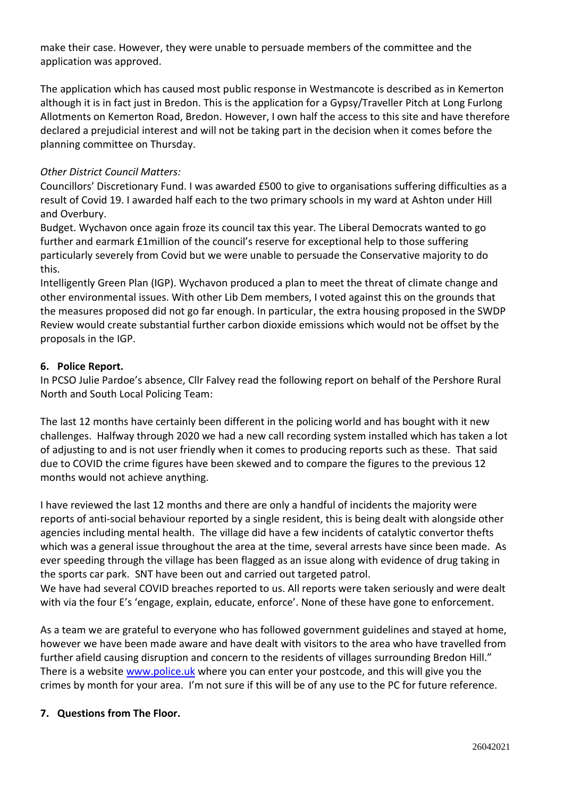make their case. However, they were unable to persuade members of the committee and the application was approved.

The application which has caused most public response in Westmancote is described as in Kemerton although it is in fact just in Bredon. This is the application for a Gypsy/Traveller Pitch at Long Furlong Allotments on Kemerton Road, Bredon. However, I own half the access to this site and have therefore declared a prejudicial interest and will not be taking part in the decision when it comes before the planning committee on Thursday.

### *Other District Council Matters:*

Councillors' Discretionary Fund. I was awarded £500 to give to organisations suffering difficulties as a result of Covid 19. I awarded half each to the two primary schools in my ward at Ashton under Hill and Overbury.

Budget. Wychavon once again froze its council tax this year. The Liberal Democrats wanted to go further and earmark £1million of the council's reserve for exceptional help to those suffering particularly severely from Covid but we were unable to persuade the Conservative majority to do this.

Intelligently Green Plan (IGP). Wychavon produced a plan to meet the threat of climate change and other environmental issues. With other Lib Dem members, I voted against this on the grounds that the measures proposed did not go far enough. In particular, the extra housing proposed in the SWDP Review would create substantial further carbon dioxide emissions which would not be offset by the proposals in the IGP.

### **6. Police Report.**

In PCSO Julie Pardoe's absence, Cllr Falvey read the following report on behalf of the Pershore Rural North and South Local Policing Team:

The last 12 months have certainly been different in the policing world and has bought with it new challenges. Halfway through 2020 we had a new call recording system installed which has taken a lot of adjusting to and is not user friendly when it comes to producing reports such as these. That said due to COVID the crime figures have been skewed and to compare the figures to the previous 12 months would not achieve anything.

I have reviewed the last 12 months and there are only a handful of incidents the majority were reports of anti-social behaviour reported by a single resident, this is being dealt with alongside other agencies including mental health. The village did have a few incidents of catalytic convertor thefts which was a general issue throughout the area at the time, several arrests have since been made. As ever speeding through the village has been flagged as an issue along with evidence of drug taking in the sports car park. SNT have been out and carried out targeted patrol.

We have had several COVID breaches reported to us. All reports were taken seriously and were dealt with via the four E's 'engage, explain, educate, enforce'. None of these have gone to enforcement.

As a team we are grateful to everyone who has followed government guidelines and stayed at home, however we have been made aware and have dealt with visitors to the area who have travelled from further afield causing disruption and concern to the residents of villages surrounding Bredon Hill." There is a website [www.police.uk](http://www.police.uk/) where you can enter your postcode, and this will give you the crimes by month for your area. I'm not sure if this will be of any use to the PC for future reference.

# **7. Questions from The Floor.**